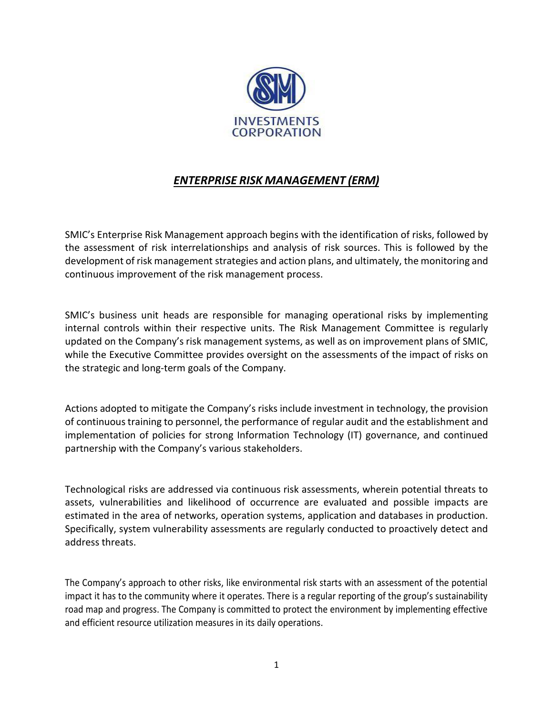

## *ENTERPRISE RISK MANAGEMENT (ERM)*

SMIC's Enterprise Risk Management approach begins with the identification of risks, followed by the assessment of risk interrelationships and analysis of risk sources. This is followed by the development of risk management strategies and action plans, and ultimately, the monitoring and continuous improvement of the risk management process.

SMIC's business unit heads are responsible for managing operational risks by implementing internal controls within their respective units. The Risk Management Committee is regularly updated on the Company's risk management systems, as well as on improvement plans of SMIC, while the Executive Committee provides oversight on the assessments of the impact of risks on the strategic and long-term goals of the Company.

Actions adopted to mitigate the Company's risks include investment in technology, the provision of continuous training to personnel, the performance of regular audit and the establishment and implementation of policies for strong Information Technology (IT) governance, and continued partnership with the Company's various stakeholders.

Technological risks are addressed via continuous risk assessments, wherein potential threats to assets, vulnerabilities and likelihood of occurrence are evaluated and possible impacts are estimated in the area of networks, operation systems, application and databases in production. Specifically, system vulnerability assessments are regularly conducted to proactively detect and address threats.

The Company's approach to other risks, like environmental risk starts with an assessment of the potential impact it has to the community where it operates. There is a regular reporting of the group's sustainability road map and progress. The Company is committed to protect the environment by implementing effective and efficient resource utilization measures in its daily operations.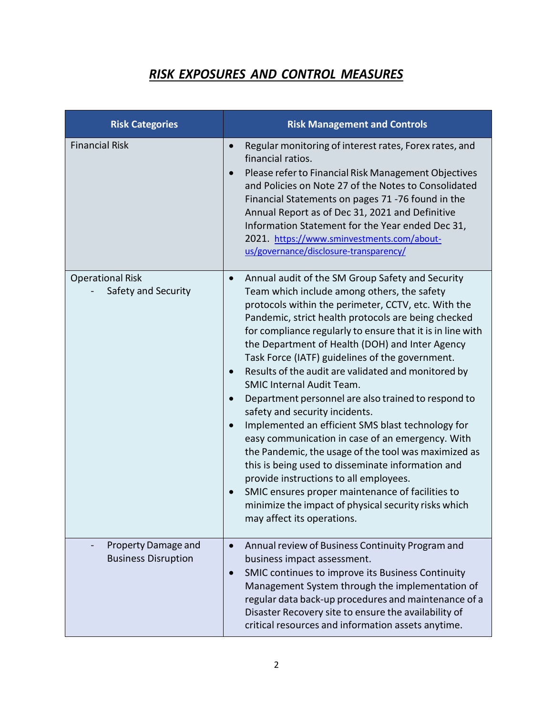## *RISK EXPOSURES AND CONTROL MEASURES*

| <b>Risk Categories</b>                            | <b>Risk Management and Controls</b>                                                                                                                                                                                                                                                                                                                                                                                                                                                                                                                                                                                                                                                                                                                                                                                                                                                                                                                                                          |
|---------------------------------------------------|----------------------------------------------------------------------------------------------------------------------------------------------------------------------------------------------------------------------------------------------------------------------------------------------------------------------------------------------------------------------------------------------------------------------------------------------------------------------------------------------------------------------------------------------------------------------------------------------------------------------------------------------------------------------------------------------------------------------------------------------------------------------------------------------------------------------------------------------------------------------------------------------------------------------------------------------------------------------------------------------|
| <b>Financial Risk</b>                             | Regular monitoring of interest rates, Forex rates, and<br>financial ratios.<br>Please refer to Financial Risk Management Objectives<br>and Policies on Note 27 of the Notes to Consolidated<br>Financial Statements on pages 71 -76 found in the<br>Annual Report as of Dec 31, 2021 and Definitive<br>Information Statement for the Year ended Dec 31,<br>2021. https://www.sminvestments.com/about-<br>us/governance/disclosure-transparency/                                                                                                                                                                                                                                                                                                                                                                                                                                                                                                                                              |
| <b>Operational Risk</b><br>Safety and Security    | Annual audit of the SM Group Safety and Security<br>$\bullet$<br>Team which include among others, the safety<br>protocols within the perimeter, CCTV, etc. With the<br>Pandemic, strict health protocols are being checked<br>for compliance regularly to ensure that it is in line with<br>the Department of Health (DOH) and Inter Agency<br>Task Force (IATF) guidelines of the government.<br>Results of the audit are validated and monitored by<br><b>SMIC Internal Audit Team.</b><br>Department personnel are also trained to respond to<br>safety and security incidents.<br>Implemented an efficient SMS blast technology for<br>easy communication in case of an emergency. With<br>the Pandemic, the usage of the tool was maximized as<br>this is being used to disseminate information and<br>provide instructions to all employees.<br>SMIC ensures proper maintenance of facilities to<br>minimize the impact of physical security risks which<br>may affect its operations. |
| Property Damage and<br><b>Business Disruption</b> | Annual review of Business Continuity Program and<br>$\bullet$<br>business impact assessment.<br>SMIC continues to improve its Business Continuity<br>$\bullet$<br>Management System through the implementation of<br>regular data back-up procedures and maintenance of a<br>Disaster Recovery site to ensure the availability of<br>critical resources and information assets anytime.                                                                                                                                                                                                                                                                                                                                                                                                                                                                                                                                                                                                      |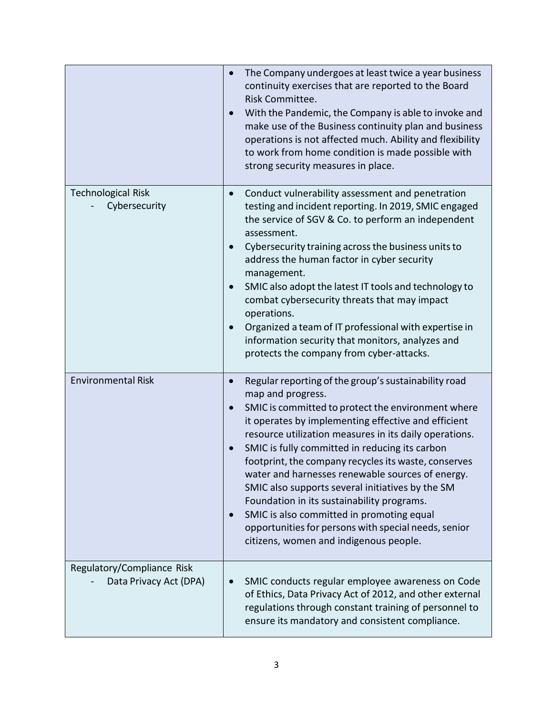|                                                      | The Company undergoes at least twice a year business<br>continuity exercises that are reported to the Board<br>Risk Committee.<br>With the Pandemic, the Company is able to invoke and<br>make use of the Business continuity plan and business<br>operations is not affected much. Ability and flexibility<br>to work from home condition is made possible with<br>strong security measures in place.                                                                                                                                                                                                                                                                       |
|------------------------------------------------------|------------------------------------------------------------------------------------------------------------------------------------------------------------------------------------------------------------------------------------------------------------------------------------------------------------------------------------------------------------------------------------------------------------------------------------------------------------------------------------------------------------------------------------------------------------------------------------------------------------------------------------------------------------------------------|
| <b>Technological Risk</b><br>Cybersecurity           | Conduct vulnerability assessment and penetration<br>$\bullet$<br>testing and incident reporting. In 2019, SMIC engaged<br>the service of SGV & Co. to perform an independent<br>assessment.<br>Cybersecurity training across the business units to<br>address the human factor in cyber security<br>management.<br>SMIC also adopt the latest IT tools and technology to<br>combat cybersecurity threats that may impact<br>operations.<br>Organized a team of IT professional with expertise in<br>information security that monitors, analyzes and<br>protects the company from cyber-attacks.                                                                             |
| <b>Environmental Risk</b>                            | Regular reporting of the group's sustainability road<br>$\bullet$<br>map and progress.<br>SMIC is committed to protect the environment where<br>it operates by implementing effective and efficient<br>resource utilization measures in its daily operations.<br>SMIC is fully committed in reducing its carbon<br>footprint, the company recycles its waste, conserves<br>water and harnesses renewable sources of energy.<br>SMIC also supports several initiatives by the SM<br>Foundation in its sustainability programs.<br>SMIC is also committed in promoting equal<br>opportunities for persons with special needs, senior<br>citizens, women and indigenous people. |
| Regulatory/Compliance Risk<br>Data Privacy Act (DPA) | SMIC conducts regular employee awareness on Code<br>of Ethics, Data Privacy Act of 2012, and other external<br>regulations through constant training of personnel to<br>ensure its mandatory and consistent compliance.                                                                                                                                                                                                                                                                                                                                                                                                                                                      |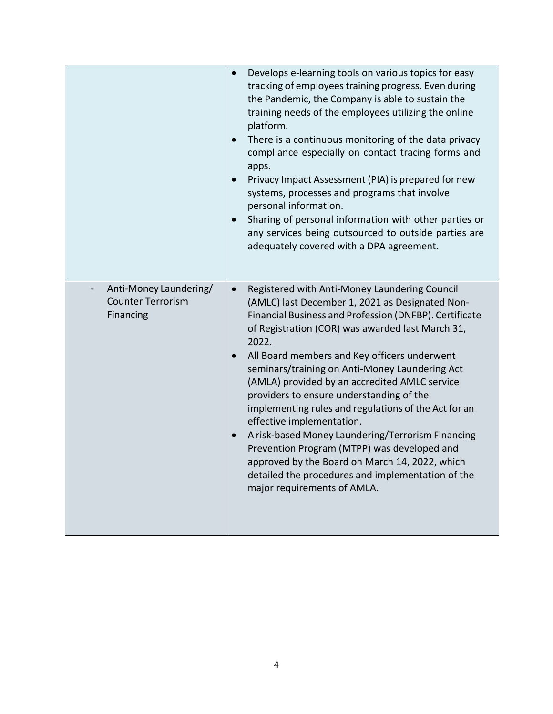|                                                                 | Develops e-learning tools on various topics for easy<br>tracking of employees training progress. Even during<br>the Pandemic, the Company is able to sustain the<br>training needs of the employees utilizing the online<br>platform.<br>There is a continuous monitoring of the data privacy<br>compliance especially on contact tracing forms and<br>apps.<br>Privacy Impact Assessment (PIA) is prepared for new<br>systems, processes and programs that involve<br>personal information.<br>Sharing of personal information with other parties or<br>any services being outsourced to outside parties are<br>adequately covered with a DPA agreement.                                                                                                          |
|-----------------------------------------------------------------|--------------------------------------------------------------------------------------------------------------------------------------------------------------------------------------------------------------------------------------------------------------------------------------------------------------------------------------------------------------------------------------------------------------------------------------------------------------------------------------------------------------------------------------------------------------------------------------------------------------------------------------------------------------------------------------------------------------------------------------------------------------------|
| Anti-Money Laundering/<br><b>Counter Terrorism</b><br>Financing | Registered with Anti-Money Laundering Council<br>$\bullet$<br>(AMLC) last December 1, 2021 as Designated Non-<br>Financial Business and Profession (DNFBP). Certificate<br>of Registration (COR) was awarded last March 31,<br>2022.<br>All Board members and Key officers underwent<br>seminars/training on Anti-Money Laundering Act<br>(AMLA) provided by an accredited AMLC service<br>providers to ensure understanding of the<br>implementing rules and regulations of the Act for an<br>effective implementation.<br>A risk-based Money Laundering/Terrorism Financing<br>Prevention Program (MTPP) was developed and<br>approved by the Board on March 14, 2022, which<br>detailed the procedures and implementation of the<br>major requirements of AMLA. |